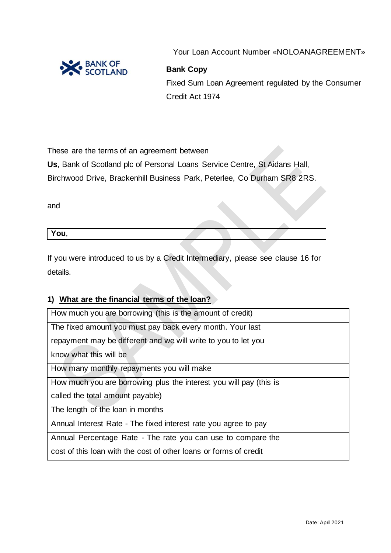

Your Loan Account Number «NOLOANAGREEMENT»

### **Bank Copy**

Fixed Sum Loan Agreement regulated by the Consumer Credit Act 1974

These are the terms of an agreement between

**Us**, Bank of Scotland plc of Personal Loans Service Centre, St Aidans Hall,

Birchwood Drive, Brackenhill Business Park, Peterlee, Co Durham SR8 2RS.

and

| - -<br>You, |  |  |  |  |
|-------------|--|--|--|--|
|             |  |  |  |  |

If you were introduced to us by a Credit Intermediary, please see clause 16 for details.

### **1) What are the financial terms of the loan?**

| How much you are borrowing (this is the amount of credit)          |  |
|--------------------------------------------------------------------|--|
| The fixed amount you must pay back every month. Your last          |  |
| repayment may be different and we will write to you to let you     |  |
| know what this will be                                             |  |
| How many monthly repayments you will make                          |  |
| How much you are borrowing plus the interest you will pay (this is |  |
| called the total amount payable)                                   |  |
| The length of the loan in months                                   |  |
| Annual Interest Rate - The fixed interest rate you agree to pay    |  |
| Annual Percentage Rate - The rate you can use to compare the       |  |
| cost of this loan with the cost of other loans or forms of credit  |  |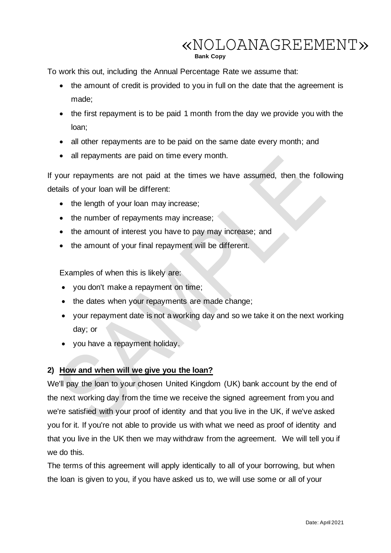**Bank Copy**

To work this out, including the Annual Percentage Rate we assume that:

- the amount of credit is provided to you in full on the date that the agreement is made;
- the first repayment is to be paid 1 month from the day we provide you with the loan;
- all other repayments are to be paid on the same date every month; and
- all repayments are paid on time every month.

If your repayments are not paid at the times we have assumed, then the following details of your loan will be different:

- the length of your loan may increase;
- the number of repayments may increase;
- the amount of interest you have to pay may increase; and
- the amount of your final repayment will be different.

Examples of when this is likely are:

- you don't make a repayment on time;
- the dates when your repayments are made change;
- your repayment date is not a working day and so we take it on the next working day; or
- you have a repayment holiday.

### **2) How and when will we give you the loan?**

We'll pay the loan to your chosen United Kingdom (UK) bank account by the end of the next working day from the time we receive the signed agreement from you and we're satisfied with your proof of identity and that you live in the UK, if we've asked you for it. If you're not able to provide us with what we need as proof of identity and that you live in the UK then we may withdraw from the agreement. We will tell you if we do this.

The terms of this agreement will apply identically to all of your borrowing, but when the loan is given to you, if you have asked us to, we will use some or all of your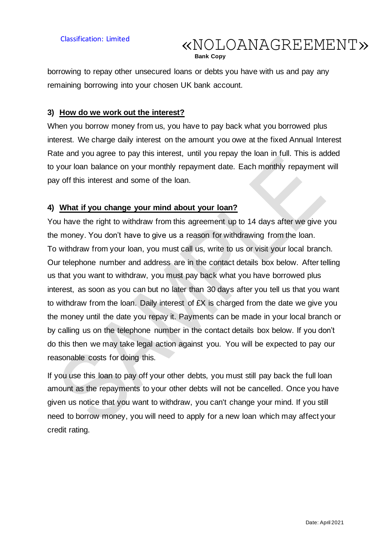**Bank Copy**

borrowing to repay other unsecured loans or debts you have with us and pay any remaining borrowing into your chosen UK bank account.

#### **3) How do we work out the interest?**

When you borrow money from us, you have to pay back what you borrowed plus interest. We charge daily interest on the amount you owe at the fixed Annual Interest Rate and you agree to pay this interest, until you repay the loan in full. This is added to your loan balance on your monthly repayment date. Each monthly repayment will pay off this interest and some of the loan.

#### **4) What if you change your mind about your loan?**

You have the right to withdraw from this agreement up to 14 days after we give you the money. You don't have to give us a reason for withdrawing from the loan. To withdraw from your loan, you must call us, write to us or visit your local branch. Our telephone number and address are in the contact details box below. After telling us that you want to withdraw, you must pay back what you have borrowed plus interest, as soon as you can but no later than 30 days after you tell us that you want to withdraw from the loan. Daily interest of £X is charged from the date we give you the money until the date you repay it. Payments can be made in your local branch or by calling us on the telephone number in the contact details box below. If you don't do this then we may take legal action against you. You will be expected to pay our reasonable costs for doing this.

If you use this loan to pay off your other debts, you must still pay back the full loan amount as the repayments to your other debts will not be cancelled. Once you have given us notice that you want to withdraw, you can't change your mind. If you still need to borrow money, you will need to apply for a new loan which may affect your credit rating.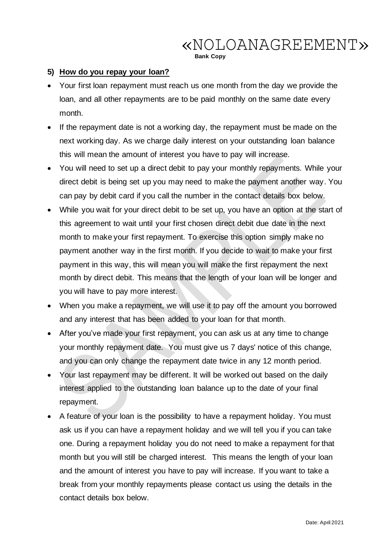**Bank Copy**

### **5) How do you repay your loan?**

- Your first loan repayment must reach us one month from the day we provide the loan, and all other repayments are to be paid monthly on the same date every month.
- If the repayment date is not a working day, the repayment must be made on the next working day. As we charge daily interest on your outstanding loan balance this will mean the amount of interest you have to pay will increase.
- You will need to set up a direct debit to pay your monthly repayments. While your direct debit is being set up you may need to make the payment another way. You can pay by debit card if you call the number in the contact details box below.
- While you wait for your direct debit to be set up, you have an option at the start of this agreement to wait until your first chosen direct debit due date in the next month to make your first repayment. To exercise this option simply make no payment another way in the first month. If you decide to wait to make your first payment in this way, this will mean you will make the first repayment the next month by direct debit. This means that the length of your loan will be longer and you will have to pay more interest.
- When you make a repayment, we will use it to pay off the amount you borrowed and any interest that has been added to your loan for that month.
- After you've made your first repayment, you can ask us at any time to change your monthly repayment date. You must give us 7 days' notice of this change, and you can only change the repayment date twice in any 12 month period.
- Your last repayment may be different. It will be worked out based on the daily interest applied to the outstanding loan balance up to the date of your final repayment.
- A feature of your loan is the possibility to have a repayment holiday. You must ask us if you can have a repayment holiday and we will tell you if you can take one. During a repayment holiday you do not need to make a repayment for that month but you will still be charged interest. This means the length of your loan and the amount of interest you have to pay will increase. If you want to take a break from your monthly repayments please contact us using the details in the contact details box below.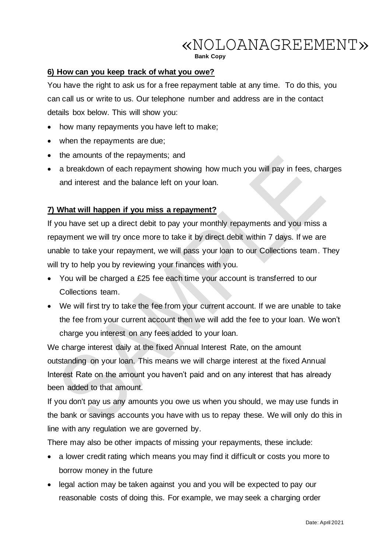**Bank Copy**

### **6) How can you keep track of what you owe?**

You have the right to ask us for a free repayment table at any time. To do this, you can call us or write to us. Our telephone number and address are in the contact details box below. This will show you:

- how many repayments you have left to make;
- when the repayments are due;
- the amounts of the repayments; and
- a breakdown of each repayment showing how much you will pay in fees, charges and interest and the balance left on your loan.

### **7) What will happen if you miss a repayment?**

If you have set up a direct debit to pay your monthly repayments and you miss a repayment we will try once more to take it by direct debit within 7 days. If we are unable to take your repayment, we will pass your loan to our Collections team. They will try to help you by reviewing your finances with you.

- You will be charged a £25 fee each time your account is transferred to our Collections team.
- We will first try to take the fee from your current account. If we are unable to take the fee from your current account then we will add the fee to your loan. We won't charge you interest on any fees added to your loan.

We charge interest daily at the fixed Annual Interest Rate, on the amount outstanding on your loan. This means we will charge interest at the fixed Annual Interest Rate on the amount you haven't paid and on any interest that has already been added to that amount.

If you don't pay us any amounts you owe us when you should, we may use funds in the bank or savings accounts you have with us to repay these. We will only do this in line with any regulation we are governed by.

There may also be other impacts of missing your repayments, these include:

- a lower credit rating which means you may find it difficult or costs you more to borrow money in the future
- legal action may be taken against you and you will be expected to pay our reasonable costs of doing this. For example, we may seek a charging order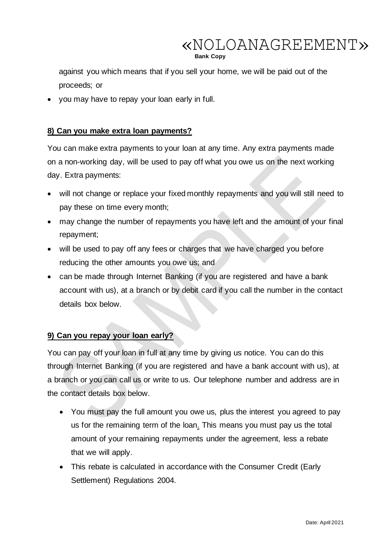**Bank Copy**

against you which means that if you sell your home, we will be paid out of the proceeds; or

• you may have to repay your loan early in full.

### **8) Can you make extra loan payments?**

You can make extra payments to your loan at any time. Any extra payments made on a non-working day, will be used to pay off what you owe us on the next working day. Extra payments:

- will not change or replace your fixed monthly repayments and you will still need to pay these on time every month;
- may change the number of repayments you have left and the amount of your final repayment;
- will be used to pay off any fees or charges that we have charged you before reducing the other amounts you owe us; and
- can be made through Internet Banking (if you are registered and have a bank account with us), at a branch or by debit card if you call the number in the contact details box below.

### **9) Can you repay your loan early?**

You can pay off your loan in full at any time by giving us notice. You can do this through Internet Banking (if you are registered and have a bank account with us), at a branch or you can call us or write to us. Our telephone number and address are in the contact details box below.

- You must pay the full amount you owe us, plus the interest you agreed to pay us for the remaining term of the loan. This means you must pay us the total amount of your remaining repayments under the agreement, less a rebate that we will apply.
- This rebate is calculated in accordance with the Consumer Credit (Early Settlement) Regulations 2004.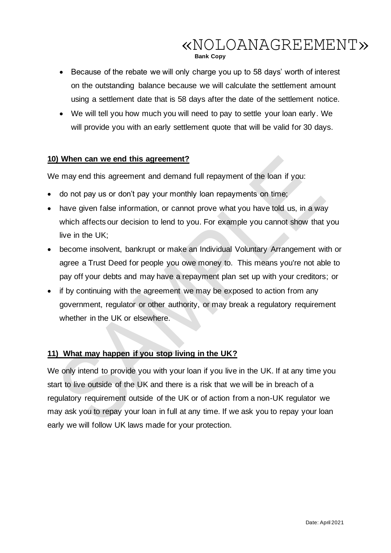#### **Bank Copy**

- Because of the rebate we will only charge you up to 58 days' worth of interest on the outstanding balance because we will calculate the settlement amount using a settlement date that is 58 days after the date of the settlement notice.
- We will tell you how much you will need to pay to settle your loan early. We will provide you with an early settlement quote that will be valid for 30 days.

### **10) When can we end this agreement?**

We may end this agreement and demand full repayment of the loan if you:

- do not pay us or don't pay your monthly loan repayments on time;
- have given false information, or cannot prove what you have told us, in a way which affects our decision to lend to you. For example you cannot show that you live in the UK;
- become insolvent, bankrupt or make an Individual Voluntary Arrangement with or agree a Trust Deed for people you owe money to. This means you're not able to pay off your debts and may have a repayment plan set up with your creditors; or
- if by continuing with the agreement we may be exposed to action from any government, regulator or other authority, or may break a regulatory requirement whether in the UK or elsewhere.

### **11) What may happen if you stop living in the UK?**

We only intend to provide you with your loan if you live in the UK. If at any time you start to live outside of the UK and there is a risk that we will be in breach of a regulatory requirement outside of the UK or of action from a non-UK regulator we may ask you to repay your loan in full at any time. If we ask you to repay your loan early we will follow UK laws made for your protection.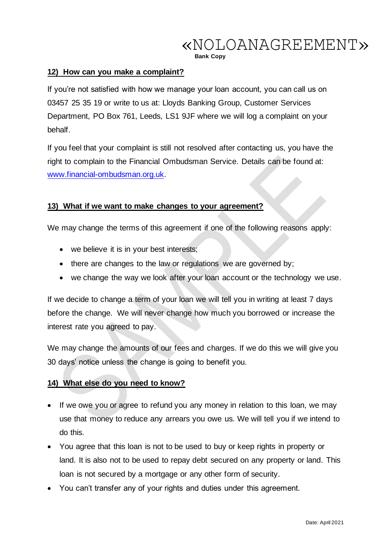**Bank Copy**

#### **12) How can you make a complaint?**

If you're not satisfied with how we manage your loan account, you can call us on 03457 25 35 19 or write to us at: Lloyds Banking Group, Customer Services Department, PO Box 761, Leeds, LS1 9JF where we will log a complaint on your behalf.

If you feel that your complaint is still not resolved after contacting us, you have the right to complain to the Financial Ombudsman Service. Details can be found at: [www.financial-ombudsman.org.uk.](http://www.financial-ombudsman.org.uk/)

#### **13) What if we want to make changes to your agreement?**

We may change the terms of this agreement if one of the following reasons apply:

- we believe it is in your best interests;
- there are changes to the law or regulations we are governed by;
- we change the way we look after your loan account or the technology we use.

If we decide to change a term of your loan we will tell you in writing at least 7 days before the change. We will never change how much you borrowed or increase the interest rate you agreed to pay.

We may change the amounts of our fees and charges. If we do this we will give you 30 days' notice unless the change is going to benefit you.

#### **14) What else do you need to know?**

- If we owe you or agree to refund you any money in relation to this loan, we may use that money to reduce any arrears you owe us. We will tell you if we intend to do this.
- You agree that this loan is not to be used to buy or keep rights in property or land. It is also not to be used to repay debt secured on any property or land. This loan is not secured by a mortgage or any other form of security.
- You can't transfer any of your rights and duties under this agreement.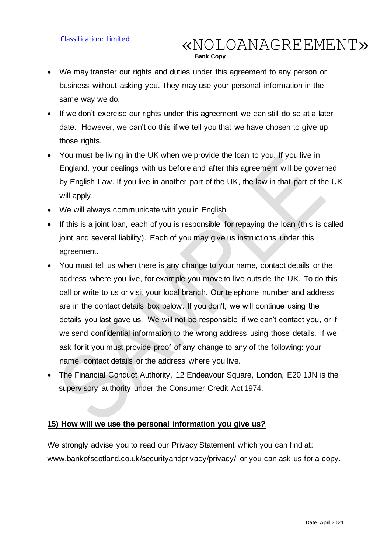• We may transfer our rights and duties under this agreement to any person or business without asking you. They may use your personal information in the same way we do.

**Bank Copy**

«NOLOANAGREEMENT»

- If we don't exercise our rights under this agreement we can still do so at a later date. However, we can't do this if we tell you that we have chosen to give up those rights.
- You must be living in the UK when we provide the loan to you. If you live in England, your dealings with us before and after this agreement will be governed by English Law. If you live in another part of the UK, the law in that part of the UK will apply.
- We will always communicate with you in English.
- If this is a joint loan, each of you is responsible for repaying the loan (this is called joint and several liability). Each of you may give us instructions under this agreement.
- You must tell us when there is any change to your name, contact details or the address where you live, for example you move to live outside the UK. To do this call or write to us or visit your local branch. Our telephone number and address are in the contact details box below. If you don't, we will continue using the details you last gave us. We will not be responsible if we can't contact you, or if we send confidential information to the wrong address using those details. If we ask for it you must provide proof of any change to any of the following: your name, contact details or the address where you live.
- The Financial Conduct Authority, 12 Endeavour Square, London, E20 1JN is the supervisory authority under the Consumer Credit Act 1974.

#### **15) How will we use the personal information you give us?**

We strongly advise you to read our Privacy Statement which you can find at: www.bankofscotland.co.uk/securityandprivacy/privacy/ or you can ask us for a copy.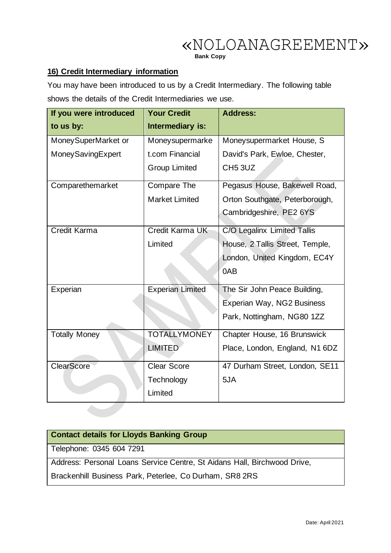**Bank Copy**

### **16) Credit Intermediary information**

You may have been introduced to us by a Credit Intermediary. The following table shows the details of the Credit Intermediaries we use.

| If you were introduced | <b>Your Credit</b>      | <b>Address:</b>                 |  |
|------------------------|-------------------------|---------------------------------|--|
| to us by:              | Intermediary is:        |                                 |  |
| MoneySuperMarket or    | Moneysupermarke         | Moneysupermarket House, S       |  |
| MoneySavingExpert      | t.com Financial         | David's Park, Ewloe, Chester,   |  |
|                        | <b>Group Limited</b>    | <b>CH5 3UZ</b>                  |  |
| Comparethemarket       | Compare The             | Pegasus House, Bakewell Road,   |  |
|                        | <b>Market Limited</b>   | Orton Southgate, Peterborough,  |  |
|                        |                         | Cambridgeshire, PE2 6YS         |  |
| <b>Credit Karma</b>    | Credit Karma UK         | C/O Legalinx Limited Tallis     |  |
|                        | Limited                 | House, 2 Tallis Street, Temple, |  |
|                        |                         | London, United Kingdom, EC4Y    |  |
|                        |                         | 0AB                             |  |
| Experian               | <b>Experian Limited</b> | The Sir John Peace Building,    |  |
|                        |                         | Experian Way, NG2 Business      |  |
|                        |                         | Park, Nottingham, NG80 1ZZ      |  |
| <b>Totally Money</b>   | <b>TOTALLYMONEY</b>     | Chapter House, 16 Brunswick     |  |
|                        | <b>LIMITED</b>          | Place, London, England, N1 6DZ  |  |
| <b>ClearScore</b>      | <b>Clear Score</b>      | 47 Durham Street, London, SE11  |  |
|                        | Technology              | 5JA                             |  |
|                        | Limited                 |                                 |  |
|                        |                         |                                 |  |

| <b>Contact details for Lloyds Banking Group</b>                          |
|--------------------------------------------------------------------------|
| Telephone: 0345 604 7291                                                 |
| Address: Personal Loans Service Centre, St Aidans Hall, Birchwood Drive, |
| Brackenhill Business Park, Peterlee, Co Durham, SR8 2RS                  |